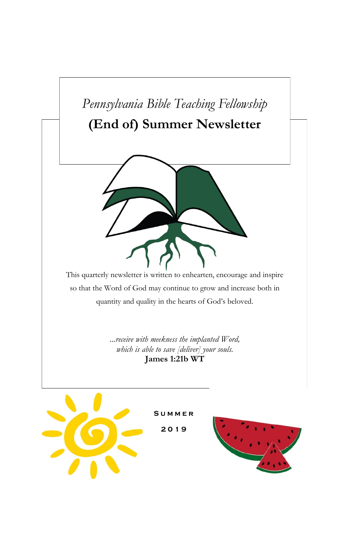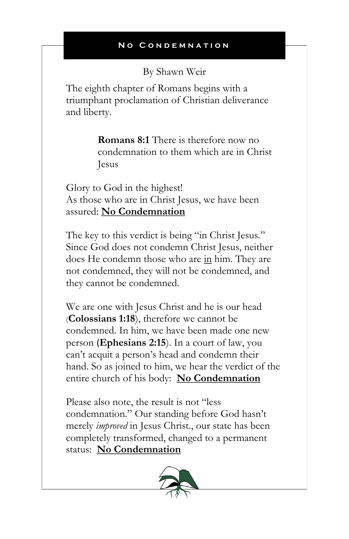By Shawn Weir

The eighth chapter of Romans begins with a triumphant proclamation of Christian deliverance and liberty.

> **Romans 8:1** There is therefore now no condemnation to them which are in Christ Jesus

Glory to God in the highest! As those who are in Christ Jesus, we have been assured: **No Condemnation**

The key to this verdict is being "in Christ Jesus." Since God does not condemn Christ Jesus, neither does He condemn those who are in him. They are not condemned, they will not be condemned, and they cannot be condemned.

We are one with Jesus Christ and he is our head (**Colossians 1:18**), therefore we cannot be condemned. In him, we have been made one new person (**Ephesians 2:15**). In a court of law, you can't acquit a person's head and condemn their hand. So as joined to him, we hear the verdict of the entire church of his body: **No Condemnation**

Please also note, the result is not "less condemnation." Our standing before God hasn't merely *improved* in Jesus Christ., our state has been completely transformed, changed to a permanent status: **No Condemnation**

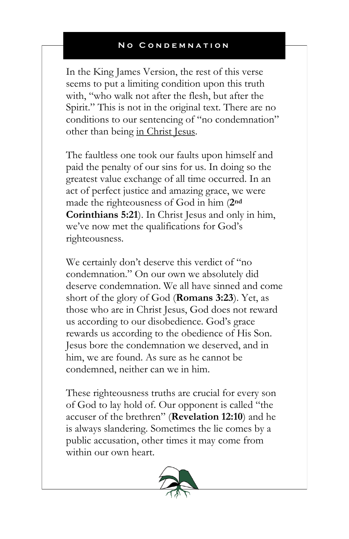In the King James Version, the rest of this verse seems to put a limiting condition upon this truth with, "who walk not after the flesh, but after the Spirit." This is not in the original text. There are no conditions to our sentencing of "no condemnation" other than being in Christ Jesus.

The faultless one took our faults upon himself and paid the penalty of our sins for us. In doing so the greatest value exchange of all time occurred. In an act of perfect justice and amazing grace, we were made the righteousness of God in him (**2nd Corinthians 5:21**). In Christ Jesus and only in him, we've now met the qualifications for God's righteousness.

We certainly don't deserve this verdict of "no condemnation." On our own we absolutely did deserve condemnation. We all have sinned and come short of the glory of God (**Romans 3:23**). Yet, as those who are in Christ Jesus, God does not reward us according to our disobedience. God's grace rewards us according to the obedience of His Son. Jesus bore the condemnation we deserved, and in him, we are found. As sure as he cannot be condemned, neither can we in him.

These righteousness truths are crucial for every son of God to lay hold of. Our opponent is called "the accuser of the brethren" (**Revelation 12:10**) and he is always slandering. Sometimes the lie comes by a public accusation, other times it may come from within our own heart.

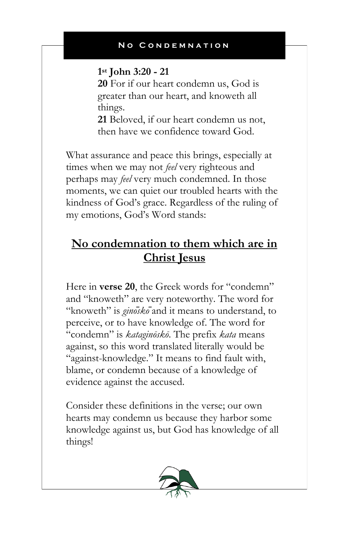## **1 st John 3:20 - 21**

**20** For if our heart condemn us, God is greater than our heart, and knoweth all things.

**21** Beloved, if our heart condemn us not, then have we confidence toward God.

What assurance and peace this brings, especially at times when we may not *feel* very righteous and perhaps may *feel* very much condemned. In those moments, we can quiet our troubled hearts with the kindness of God's grace. Regardless of the ruling of my emotions, God's Word stands:

# **No condemnation to them which are in Christ Jesus**

Here in **verse 20**, the Greek words for "condemn" and "knoweth" are very noteworthy. The word for "knoweth" is *ginosko*<sup>*a*</sup> and it means to understand, to perceive, or to have knowledge of. The word for "condemn" is *kataginōskō*. The prefix *kata* means against, so this word translated literally would be "against-knowledge." It means to find fault with, blame, or condemn because of a knowledge of evidence against the accused.

Consider these definitions in the verse; our own hearts may condemn us because they harbor some knowledge against us, but God has knowledge of all things!

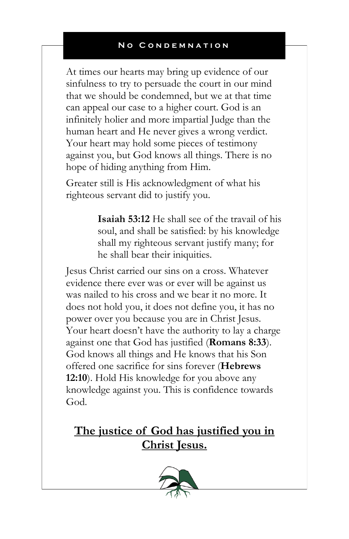At times our hearts may bring up evidence of our sinfulness to try to persuade the court in our mind that we should be condemned, but we at that time can appeal our case to a higher court. God is an infinitely holier and more impartial Judge than the human heart and He never gives a wrong verdict. Your heart may hold some pieces of testimony against you, but God knows all things. There is no hope of hiding anything from Him.

Greater still is His acknowledgment of what his righteous servant did to justify you.

> **Isaiah 53:12** He shall see of the travail of his soul, and shall be satisfied: by his knowledge shall my righteous servant justify many; for he shall bear their iniquities.

Jesus Christ carried our sins on a cross. Whatever evidence there ever was or ever will be against us was nailed to his cross and we bear it no more. It does not hold you, it does not define you, it has no power over you because you are in Christ Jesus. Your heart doesn't have the authority to lay a charge against one that God has justified (**Romans 8:33**). God knows all things and He knows that his Son offered one sacrifice for sins forever (**Hebrews 12:10**). Hold His knowledge for you above any knowledge against you. This is confidence towards God.

**The justice of God has justified you in Christ Jesus.**

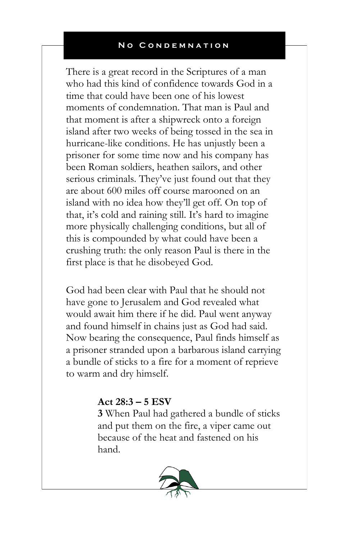There is a great record in the Scriptures of a man who had this kind of confidence towards God in a time that could have been one of his lowest moments of condemnation. That man is Paul and that moment is after a shipwreck onto a foreign island after two weeks of being tossed in the sea in hurricane-like conditions. He has unjustly been a prisoner for some time now and his company has been Roman soldiers, heathen sailors, and other serious criminals. They've just found out that they are about 600 miles off course marooned on an island with no idea how they'll get off. On top of that, it's cold and raining still. It's hard to imagine more physically challenging conditions, but all of this is compounded by what could have been a crushing truth: the only reason Paul is there in the first place is that he disobeyed God.

God had been clear with Paul that he should not have gone to Jerusalem and God revealed what would await him there if he did. Paul went anyway and found himself in chains just as God had said. Now bearing the consequence, Paul finds himself as a prisoner stranded upon a barbarous island carrying a bundle of sticks to a fire for a moment of reprieve to warm and dry himself.

## **Act 28:3 – 5 ESV**

**3** When Paul had gathered a bundle of sticks and put them on the fire, a viper came out because of the heat and fastened on his hand.

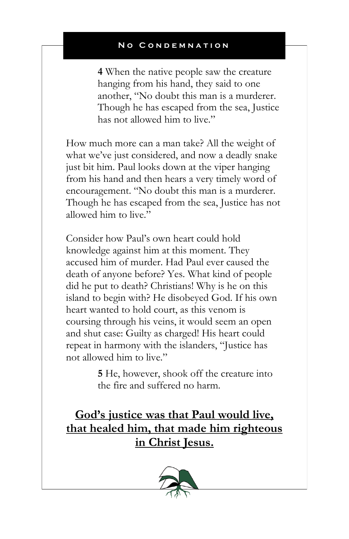**4** When the native people saw the creature hanging from his hand, they said to one another, "No doubt this man is a murderer. Though he has escaped from the sea, Justice has not allowed him to live."

How much more can a man take? All the weight of what we've just considered, and now a deadly snake just bit him. Paul looks down at the viper hanging from his hand and then hears a very timely word of encouragement. "No doubt this man is a murderer. Though he has escaped from the sea, Justice has not allowed him to live."

Consider how Paul's own heart could hold knowledge against him at this moment. They accused him of murder. Had Paul ever caused the death of anyone before? Yes. What kind of people did he put to death? Christians! Why is he on this island to begin with? He disobeyed God. If his own heart wanted to hold court, as this venom is coursing through his veins, it would seem an open and shut case: Guilty as charged! His heart could repeat in harmony with the islanders, "Justice has not allowed him to live."

> **5** He, however, shook off the creature into the fire and suffered no harm.

**God's justice was that Paul would live, that healed him, that made him righteous in Christ Jesus.**

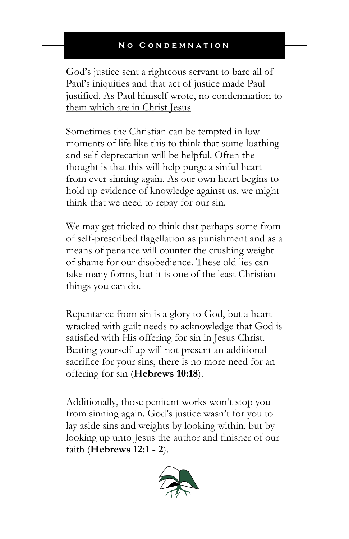God's justice sent a righteous servant to bare all of Paul's iniquities and that act of justice made Paul justified. As Paul himself wrote, no condemnation to them which are in Christ Jesus

Sometimes the Christian can be tempted in low moments of life like this to think that some loathing and self-deprecation will be helpful. Often the thought is that this will help purge a sinful heart from ever sinning again. As our own heart begins to hold up evidence of knowledge against us, we might think that we need to repay for our sin.

We may get tricked to think that perhaps some from of self-prescribed flagellation as punishment and as a means of penance will counter the crushing weight of shame for our disobedience. These old lies can take many forms, but it is one of the least Christian things you can do.

Repentance from sin is a glory to God, but a heart wracked with guilt needs to acknowledge that God is satisfied with His offering for sin in Jesus Christ. Beating yourself up will not present an additional sacrifice for your sins, there is no more need for an offering for sin (**Hebrews 10:18**).

Additionally, those penitent works won't stop you from sinning again. God's justice wasn't for you to lay aside sins and weights by looking within, but by looking up unto Jesus the author and finisher of our faith (**Hebrews 12:1 - 2**).

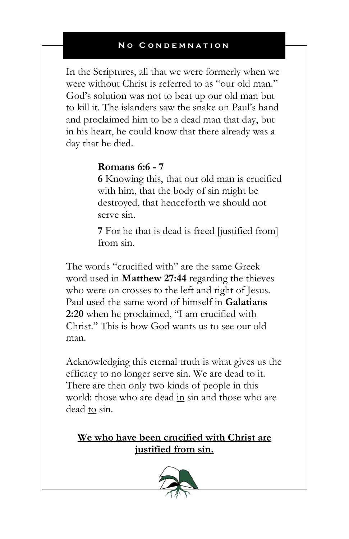In the Scriptures, all that we were formerly when we were without Christ is referred to as "our old man." God's solution was not to beat up our old man but to kill it. The islanders saw the snake on Paul's hand and proclaimed him to be a dead man that day, but in his heart, he could know that there already was a day that he died.

## **Romans 6:6 - 7**

**6** Knowing this, that our old man is crucified with him, that the body of sin might be destroyed, that henceforth we should not serve sin.

**7** For he that is dead is freed [justified from] from sin.

The words "crucified with" are the same Greek word used in **Matthew 27:44** regarding the thieves who were on crosses to the left and right of Jesus. Paul used the same word of himself in **Galatians 2:20** when he proclaimed, "I am crucified with Christ." This is how God wants us to see our old man.

Acknowledging this eternal truth is what gives us the efficacy to no longer serve sin. We are dead to it. There are then only two kinds of people in this world: those who are dead in sin and those who are dead to sin.

**We who have been crucified with Christ are justified from sin.**

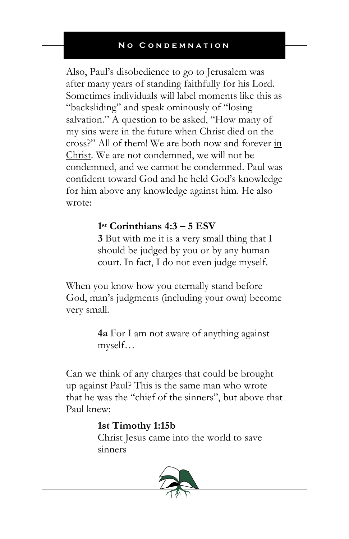Also, Paul's disobedience to go to Jerusalem was after many years of standing faithfully for his Lord. Sometimes individuals will label moments like this as "backsliding" and speak ominously of "losing salvation." A question to be asked, "How many of my sins were in the future when Christ died on the cross?" All of them! We are both now and forever in Christ. We are not condemned, we will not be condemned, and we cannot be condemned. Paul was confident toward God and he held God's knowledge for him above any knowledge against him. He also wrote:

## **1 st Corinthians 4:3 – 5 ESV**

**3** But with me it is a very small thing that I should be judged by you or by any human court. In fact, I do not even judge myself.

When you know how you eternally stand before God, man's judgments (including your own) become very small.

> **4a** For I am not aware of anything against myself…

Can we think of any charges that could be brought up against Paul? This is the same man who wrote that he was the "chief of the sinners", but above that Paul knew:

## **1st Timothy 1:15b**

Christ Jesus came into the world to save sinners

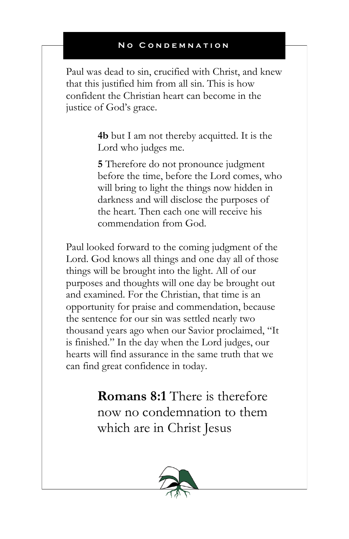Paul was dead to sin, crucified with Christ, and knew that this justified him from all sin. This is how confident the Christian heart can become in the justice of God's grace.

> **4b** but I am not thereby acquitted. It is the Lord who judges me.

**5** Therefore do not pronounce judgment before the time, before the Lord comes, who will bring to light the things now hidden in darkness and will disclose the purposes of the heart. Then each one will receive his commendation from God.

Paul looked forward to the coming judgment of the Lord. God knows all things and one day all of those things will be brought into the light. All of our purposes and thoughts will one day be brought out and examined. For the Christian, that time is an opportunity for praise and commendation, because the sentence for our sin was settled nearly two thousand years ago when our Savior proclaimed, "It is finished." In the day when the Lord judges, our hearts will find assurance in the same truth that we can find great confidence in today.

> **Romans 8:1** There is therefore now no condemnation to them which are in Christ Jesus